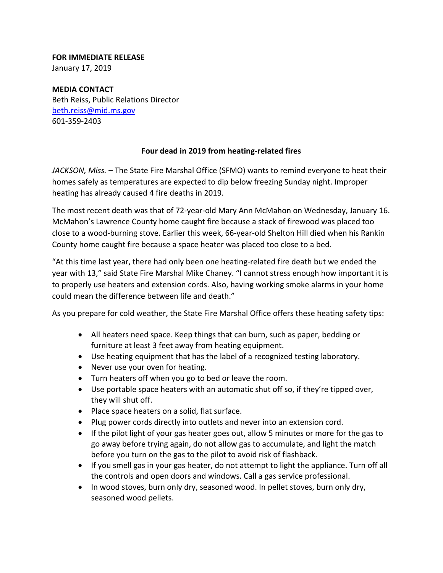## **FOR IMMEDIATE RELEASE**

January 17, 2019

**MEDIA CONTACT** Beth Reiss, Public Relations Director beth.reiss@mid.ms.gov 601‐359‐2403

## **Four dead in 2019 from heating‐related fires**

*JACKSON, Miss. –* The State Fire Marshal Office (SFMO) wants to remind everyone to heat their homes safely as temperatures are expected to dip below freezing Sunday night. Improper heating has already caused 4 fire deaths in 2019.

The most recent death was that of 72‐year‐old Mary Ann McMahon on Wednesday, January 16. McMahon's Lawrence County home caught fire because a stack of firewood was placed too close to a wood‐burning stove. Earlier this week, 66‐year‐old Shelton Hill died when his Rankin County home caught fire because a space heater was placed too close to a bed.

"At this time last year, there had only been one heating‐related fire death but we ended the year with 13," said State Fire Marshal Mike Chaney. "I cannot stress enough how important it is to properly use heaters and extension cords. Also, having working smoke alarms in your home could mean the difference between life and death."

As you prepare for cold weather, the State Fire Marshal Office offers these heating safety tips:

- All heaters need space. Keep things that can burn, such as paper, bedding or furniture at least 3 feet away from heating equipment.
- Use heating equipment that has the label of a recognized testing laboratory.
- Never use your oven for heating.
- Turn heaters off when you go to bed or leave the room.
- Use portable space heaters with an automatic shut off so, if they're tipped over, they will shut off.
- Place space heaters on a solid, flat surface.
- Plug power cords directly into outlets and never into an extension cord.
- If the pilot light of your gas heater goes out, allow 5 minutes or more for the gas to go away before trying again, do not allow gas to accumulate, and light the match before you turn on the gas to the pilot to avoid risk of flashback.
- If you smell gas in your gas heater, do not attempt to light the appliance. Turn off all the controls and open doors and windows. Call a gas service professional.
- In wood stoves, burn only dry, seasoned wood. In pellet stoves, burn only dry, seasoned wood pellets.